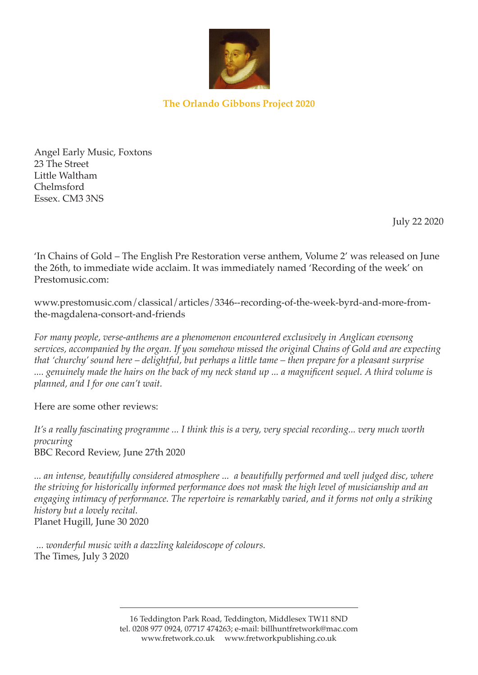

## **The Orlando Gibbons Project 2020**

Angel Early Music, Foxtons 23 The Street Little Waltham Chelmsford Essex. CM3 3NS

July 22 2020

'In Chains of Gold – The English Pre Restoration verse anthem, Volume 2' was released on June the 26th, to immediate wide acclaim. It was immediately named 'Recording of the week' on Prestomusic.com:

www.prestomusic.com/classical/articles/3346--recording-of-the-week-byrd-and-more-fromthe-magdalena-consort-and-friends

*For many people, verse-anthems are a phenomenon encountered exclusively in Anglican evensong services, accompanied by the organ. If you somehow missed the original Chains of Gold and are expecting that 'churchy' sound here – delightful, but perhaps a little tame – then prepare for a pleasant surprise .... genuinely made the hairs on the back of my neck stand up ... a magnificent sequel. A third volume is planned, and I for one can't wait.*

Here are some other reviews:

*It's a really fascinating programme ... I think this is a very, very special recording... very much worth procuring* BBC Record Review, June 27th 2020

*... an intense, beautifully considered atmosphere ... a beautifully performed and well judged disc, where the striving for historically informed performance does not mask the high level of musicianship and an engaging intimacy of performance. The repertoire is remarkably varied, and it forms not only a striking history but a lovely recital.* Planet Hugill, June 30 2020

 *... wonderful music with a dazzling kaleidoscope of colours.* The Times, July 3 2020